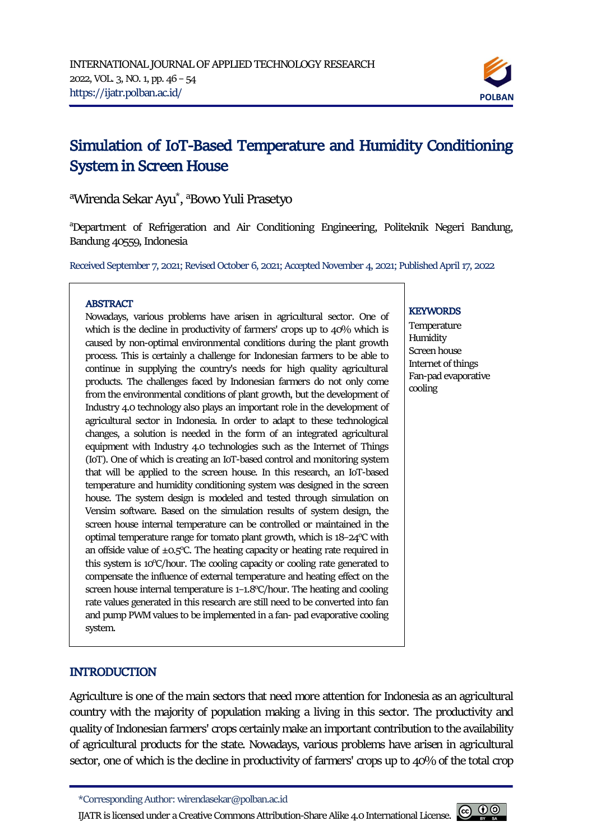

# Simulation of IoT-Based Temperature and Humidity Conditioning System in Screen House

<sup>a</sup>Wirenda Sekar Ayu<sup>\*</sup>, <sup>a</sup>Bowo Yuli Prasetyo

a Department of Refrigeration and Air Conditioning Engineering, Politeknik Negeri Bandung, Bandung 40559, Indonesia

Received September 7, 2021; Revised October6, 2021; Accepted November 4, 2021; Published April 17, 2022

## ABSTRACT

Nowadays, various problems have arisen in agricultural sector. One of which is the decline in productivity of farmers' crops up to 40% which is caused by non-optimal environmental conditions during the plant growth process. This is certainly a challenge for Indonesian farmers to be able to continue in supplying the country's needs for high quality agricultural products. The challenges faced by Indonesian farmers do not only come from the environmental conditions of plant growth, but the development of Industry 4.0 technology also plays an important role in the development of agricultural sector in Indonesia. In order to adapt to these technological changes, a solution is needed in the form of an integrated agricultural equipment with Industry 4.0 technologies such as the Internet of Things (IoT). One of which is creating an IoT-based control and monitoring system that will be applied to the screen house. In this research, an IoT-based temperature and humidity conditioning system was designed in the screen house. The system design is modeled and tested through simulation on Vensim software. Based on the simulation results of system design, the screen house internal temperature can be controlled or maintained in the optimal temperature range for tomato plant growth, which is 18-24°C with an offside value of  $\pm$ 0.5°C. The heating capacity or heating rate required in this system is 10°C/hour. The cooling capacity or cooling rate generated to compensate the influence of external temperature and heating effect on the screen house internal temperature is 1-1.8°C/hour. The heating and cooling rate values generated in this research are still need to be converted into fan and pump PWM values to be implemented in a fan- pad evaporative cooling system.

# **KEYWORDS**

**Temperature** Humidity Screen house Internet of things Fan-pad evaporative cooling

# **INTRODUCTION**

Agriculture is one of the main sectors that need more attention for Indonesia as an agricultural country with the majority of population making a living in this sector. The productivity and quality of Indonesian farmers' crops certainly make an important contribution to the availability of agricultural products for the state. Nowadays, various problems have arisen in agricultural sector, one of which is the decline in productivity of farmers' crops up to 40% of the total crop

\*Corresponding Author: wirendasekar@polban.ac.id

IJATR is licensed under a Creative Commons Attribution-Share Alike 4.0 International License.  $\bigcirc$  00

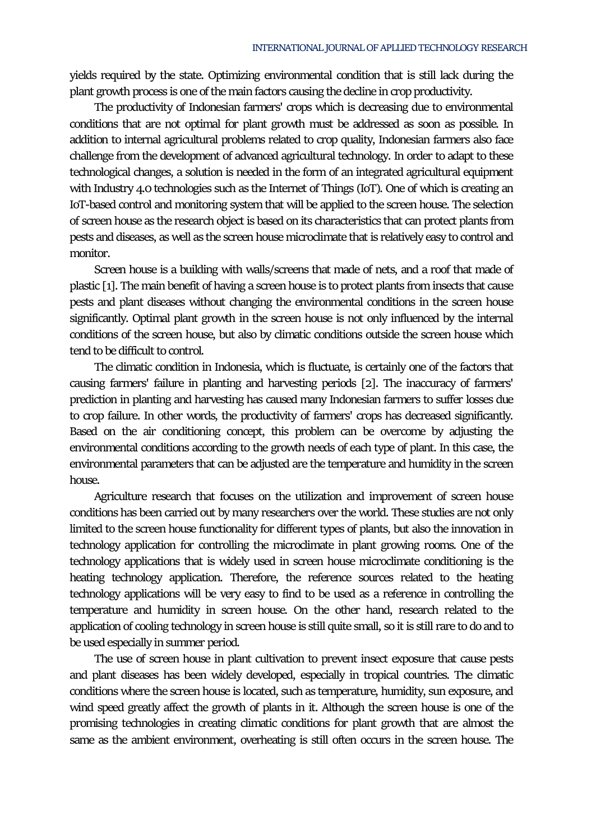yields required by the state. Optimizing environmental condition that is still lack during the plant growth process is one of the main factors causing the decline in crop productivity.

The productivity of Indonesian farmers' crops which is decreasing due to environmental conditions that are not optimal for plant growth must be addressed as soon as possible. In addition to internal agricultural problems related to crop quality, Indonesian farmers also face challenge from the development of advanced agricultural technology. In order to adapt to these technological changes, a solution is needed in the form of an integrated agricultural equipment with Industry 4.0 technologies such as the Internet of Things (IoT). One of which is creating an IoT-based control and monitoring system that will be applied to the screen house. The selection of screen house as the research object is based on its characteristics that can protect plants from pests and diseases, as well as the screen house microclimate that is relatively easy to control and monitor.

Screen house is a building with walls/screens that made of nets, and a roof that made of plastic [1]. The main benefit of having a screen house is to protect plants from insects that cause pests and plant diseases without changing the environmental conditions in the screen house significantly. Optimal plant growth in the screen house is not only influenced by the internal conditions of the screen house, but also by climatic conditions outside the screen house which tend to be difficult to control.

The climatic condition in Indonesia, which is fluctuate, is certainly one of the factors that causing farmers' failure in planting and harvesting periods [2]. The inaccuracy of farmers' prediction in planting and harvesting has caused many Indonesian farmers to suffer losses due to crop failure. In other words, the productivity of farmers' crops has decreased significantly. Based on the air conditioning concept, this problem can be overcome by adjusting the environmental conditions according to the growth needs of each type of plant. In this case, the environmental parameters that can be adjusted are the temperature and humidity in the screen house.

Agriculture research that focuses on the utilization and improvement of screen house conditions has been carried out by many researchers over the world. These studies are not only limited to the screen house functionality for different types of plants, but also the innovation in technology application for controlling the microclimate in plant growing rooms. One of the technology applications that is widely used in screen house microclimate conditioning is the heating technology application. Therefore, the reference sources related to the heating technology applications will be very easy to find to be used as a reference in controlling the temperature and humidity in screen house. On the other hand, research related to the application of cooling technology in screen house is still quite small, so it is still rare to do and to be used especially in summer period.

The use of screen house in plant cultivation to prevent insect exposure that cause pests and plant diseases has been widely developed, especially in tropical countries. The climatic conditions where the screen house is located, such as temperature, humidity, sun exposure, and wind speed greatly affect the growth of plants in it. Although the screen house is one of the promising technologies in creating climatic conditions for plant growth that are almost the same as the ambient environment, overheating is still often occurs in the screen house. The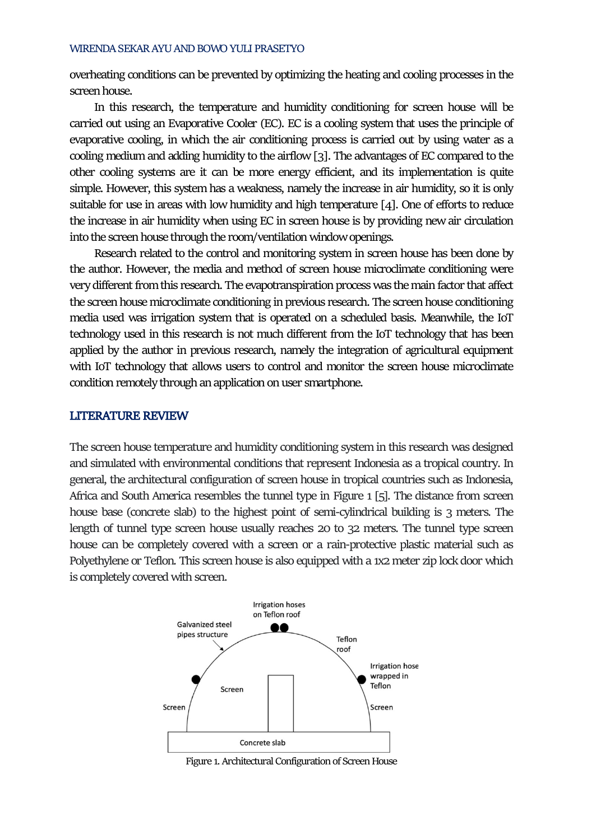overheating conditions can be prevented by optimizing the heating and cooling processes in the screen house.

In this research, the temperature and humidity conditioning for screen house will be carried out using an Evaporative Cooler (EC). EC is a cooling system that uses the principle of evaporative cooling, in which the air conditioning process is carried out by using water as a cooling medium and adding humidity to the airflow[3]. The advantages of EC compared to the other cooling systems are it can be more energy efficient, and its implementation is quite simple. However, this system has a weakness, namely the increase in air humidity, so it is only suitable for use in areas with low humidity and high temperature [4]. One of efforts to reduce the increase in air humidity when using EC in screen house is by providing new air circulation into the screen house through the room/ventilation window openings.

Research related to the control and monitoring system in screen house has been done by the author. However, the media and method of screen house microclimate conditioning were very different from this research. The evapotranspiration process was the main factor that affect the screen house microclimate conditioning in previous research. The screen house conditioning media used was irrigation system that is operated on a scheduled basis. Meanwhile, the IoT technology used in this research is not much different from the IoT technology that has been applied by the author in previous research, namely the integration of agricultural equipment with IoT technology that allows users to control and monitor the screen house microclimate condition remotely through an application on user smartphone.

## LITERATURE REVIEW

The screen house temperature and humidity conditioning system in this research was designed and simulated with environmental conditions that represent Indonesia as a tropical country. In general, the architectural configuration of screen house in tropical countries such as Indonesia, Africa and South America resembles the tunnel type in Figure 1 [5]. The distance from screen house base (concrete slab) to the highest point of semi-cylindrical building is 3 meters. The length of tunnel type screen house usually reaches 20 to 32 meters. The tunnel type screen house can be completely covered with a screen or a rain-protective plastic material such as Polyethylene or Teflon. This screen house is also equipped with a 1x2 meter zip lock door which is completely covered with screen.



Figure 1. Architectural Configuration of Screen House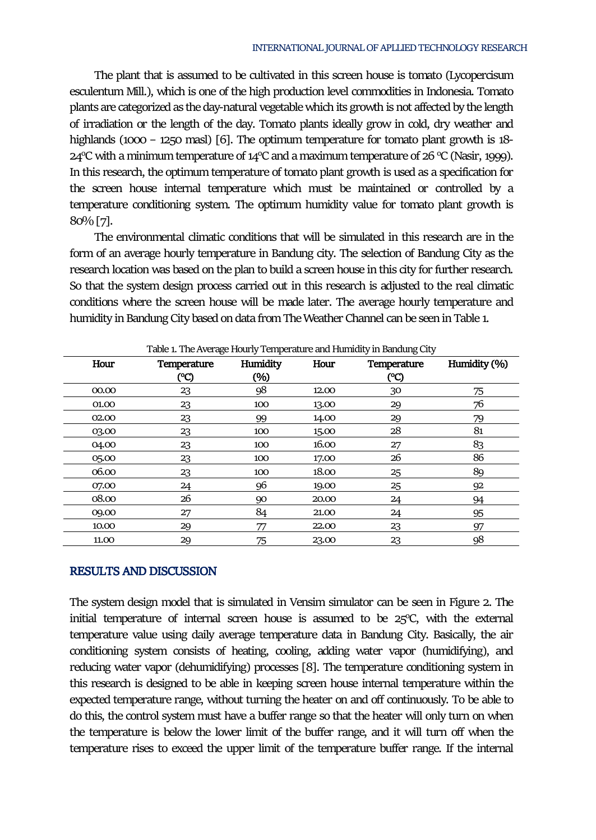The plant that is assumed to be cultivated in this screen house is tomato (Lycopercisum esculentum Mill.), which is one of the high production level commodities in Indonesia. Tomato plants are categorized as the day-natural vegetable which its growth is not affected by the length of irradiation or the length of the day. Tomato plants ideally grow in cold, dry weather and highlands (1000 – 1250 masl) [6]. The optimum temperature for tomato plant growth is 18-  $24^{\circ}$ C with a minimum temperature of  $14^{\circ}$ C and a maximum temperature of 26  $^{\circ}$ C (Nasir, 1999). In this research, the optimum temperature of tomato plant growth is used as a specification for the screen house internal temperature which must be maintained or controlled by a temperature conditioning system. The optimum humidity value for tomato plant growth is 80%[7].

The environmental climatic conditions that will be simulated in this research are in the form of an average hourly temperature in Bandung city. The selection of Bandung City as the research location was based on the plan to build a screen house in this city for further research. So that the system design process carried out in this research is adjusted to the real climatic conditions where the screen house will be made later. The average hourly temperature and humidity in Bandung City based on data from The Weather Channel can be seen in Table 1.

| Table 1. The Average Hourly Temperature and Humidity in Bandung City |             |          |       |             |              |
|----------------------------------------------------------------------|-------------|----------|-------|-------------|--------------|
| Hour                                                                 | Temperature | Humidity | Hour  | Temperature | Humidity (%) |
|                                                                      | (°C)        | (%)      |       | (°C)        |              |
| 00.00                                                                | 23          | 98       | 12.00 | 30          | 75           |
| 01.00                                                                | 23          | 100      | 13.00 | 29          | 76           |
| 02.00                                                                | 23          | 99       | 14.00 | 29          | 79           |
| 03.00                                                                | 23          | 100      | 15.00 | 28          | 81           |
| 04.00                                                                | 23          | 100      | 16.00 | 27          | 83           |
| 05.00                                                                | 23          | 100      | 17.00 | 26          | 86           |
| 06.00                                                                | 23          | 100      | 18.00 | 25          | 89           |
| 07.00                                                                | 24          | 96       | 19.00 | 25          | 92           |
| 08.00                                                                | 26          | 90       | 20.00 | 24          | 94           |
| 09.00                                                                | 27          | 84       | 21.00 | 24          | 95           |
| 10.00                                                                | 29          | 77       | 22.00 | 23          | 97           |
| 11.00                                                                | 29          | 75       | 23.00 | 23          | 98           |

Table 1. The Average Hourly Temperature and Humidity in Bandung City

# RESULTS AND DISCUSSION

The system design model that is simulated in Vensim simulator can be seen in Figure 2. The initial temperature of internal screen house is assumed to be  $25^{\circ}$ C, with the external temperature value using daily average temperature data in Bandung City. Basically, the air conditioning system consists of heating, cooling, adding water vapor (humidifying), and reducing water vapor (dehumidifying) processes [8]. The temperature conditioning system in this research is designed to be able in keeping screen house internal temperature within the expected temperature range, without turning the heater on and off continuously. To be able to do this, the control system must have a buffer range so that the heater will only turn on when the temperature is below the lower limit of the buffer range, and it will turn off when the temperature rises to exceed the upper limit of the temperature buffer range. If the internal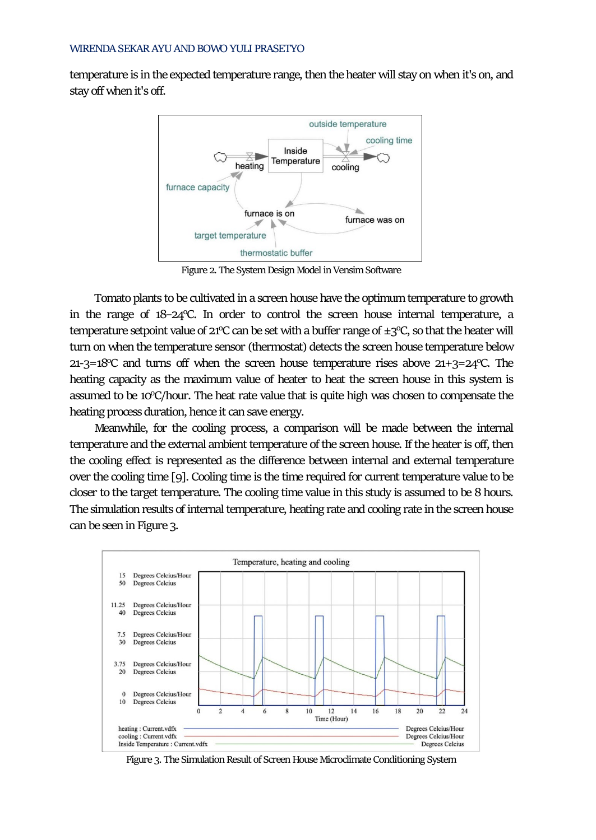temperature is in the expected temperature range, then the heater will stay on when it's on, and stay off when it's off.



Figure 2. The System Design Model in Vensim Software

Tomato plants to be cultivated in a screen house have the optimum temperature to growth in the range of 18-24°C. In order to control the screen house internal temperature, a temperature setpoint value of  $21^{\circ}$ C can be set with a buffer range of  $\pm 3^{\circ}$ C, so that the heater will turn on when the temperature sensor (thermostat) detects the screen house temperature below  $21-3=18^{\circ}$ C and turns off when the screen house temperature rises above  $21+3=24^{\circ}$ C. The heating capacity as the maximum value of heater to heat the screen house in this system is assumed to be 10°C/hour. The heat rate value that is quite high was chosen to compensate the heating process duration, hence it can save energy.

Meanwhile, for the cooling process, a comparison will be made between the internal temperature and the external ambient temperature of the screen house. If the heater is off, then the cooling effect is represented as the difference between internal and external temperature over the cooling time [9]. Cooling time is the time required for current temperature value to be closer to the target temperature. The cooling time value in this study is assumed to be 8 hours. The simulation results of internal temperature, heating rate and cooling rate in the screen house can be seen in Figure 3.



Figure 3. The Simulation Result of Screen House Microclimate Conditioning System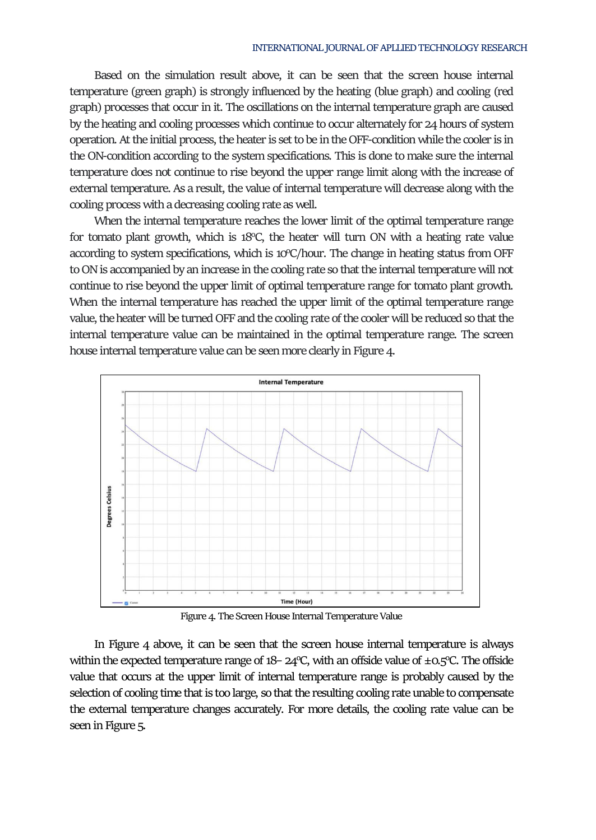Based on the simulation result above, it can be seen that the screen house internal temperature (green graph) is strongly influenced by the heating (blue graph) and cooling (red graph) processes that occur in it. The oscillations on the internal temperature graph are caused by the heating and cooling processes which continue to occur alternately for 24 hours of system operation. At the initial process, the heater is set to be in the OFF-condition while the cooler is in the ON-condition according to the system specifications. This is done to make sure the internal temperature does not continue to rise beyond the upper range limit along with the increase of external temperature. As a result, the value of internal temperature will decrease along with the cooling process with a decreasing cooling rate as well.

When the internal temperature reaches the lower limit of the optimal temperature range for tomato plant growth, which is 18°C, the heater will turn ON with a heating rate value according to system specifications, which is 10°C/hour. The change in heating status from OFF to ON is accompanied by an increase in the cooling rate so that the internal temperature will not continue to rise beyond the upper limit of optimal temperature range for tomato plant growth. When the internal temperature has reached the upper limit of the optimal temperature range value, the heater will be turned OFF and the cooling rate of the cooler will be reduced so that the internal temperature value can be maintained in the optimal temperature range. The screen house internal temperature value can be seen more clearly in Figure 4.



Figure 4. The Screen House Internal Temperature Value

In Figure 4 above, it can be seen that the screen house internal temperature is always within the expected temperature range of  $18-24$ °C, with an offside value of  $\pm$ 0.5°C. The offside value that occurs at the upper limit of internal temperature range is probably caused by the selection of cooling time that is too large, so that the resulting cooling rate unable to compensate the external temperature changes accurately. For more details, the cooling rate value can be seen in Figure 5.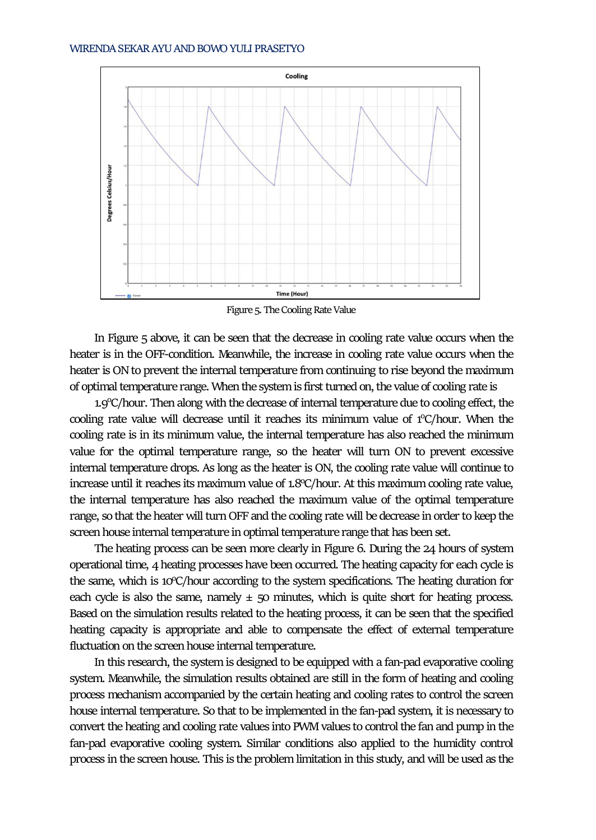

Figure 5. The Cooling Rate Value

In Figure 5 above, it can be seen that the decrease in cooling rate value occurs when the heater is in the OFF-condition. Meanwhile, the increase in cooling rate value occurs when the heater is ON to prevent the internal temperature from continuing to rise beyond the maximum of optimal temperature range. When the system is first turned on, the value of cooling rate is

1.9°C/hour. Then along with the decrease of internal temperature due to cooling effect, the cooling rate value will decrease until it reaches its minimum value of 1°C/hour. When the cooling rate is in its minimum value, the internal temperature has also reached the minimum value for the optimal temperature range, so the heater will turn ON to prevent excessive internal temperature drops. As long as the heater is ON, the cooling rate value will continue to increase until it reaches its maximum value of 1.8°C/hour. At this maximum cooling rate value, the internal temperature has also reached the maximum value of the optimal temperature range, so that the heater will turn OFF and the cooling rate will be decrease in order to keep the screen house internal temperature in optimal temperature range that has been set.

The heating process can be seen more clearly in Figure 6. During the 24 hours of system operational time, 4 heating processes have been occurred. The heating capacity for each cycle is the same, which is 10°C/hour according to the system specifications. The heating duration for each cycle is also the same, namely  $\pm$  50 minutes, which is quite short for heating process. Based on the simulation results related to the heating process, it can be seen that the specified heating capacity is appropriate and able to compensate the effect of external temperature fluctuation on the screen house internal temperature.

In this research, the system is designed to be equipped with a fan-pad evaporative cooling system. Meanwhile, the simulation results obtained are still in the form of heating and cooling process mechanism accompanied by the certain heating and cooling rates to control the screen house internal temperature. So that to be implemented in the fan-pad system, it is necessary to convert the heating and cooling rate values into PWM values to control the fan and pump in the fan-pad evaporative cooling system. Similar conditions also applied to the humidity control process in the screen house. This is the problem limitation in this study, and will be used as the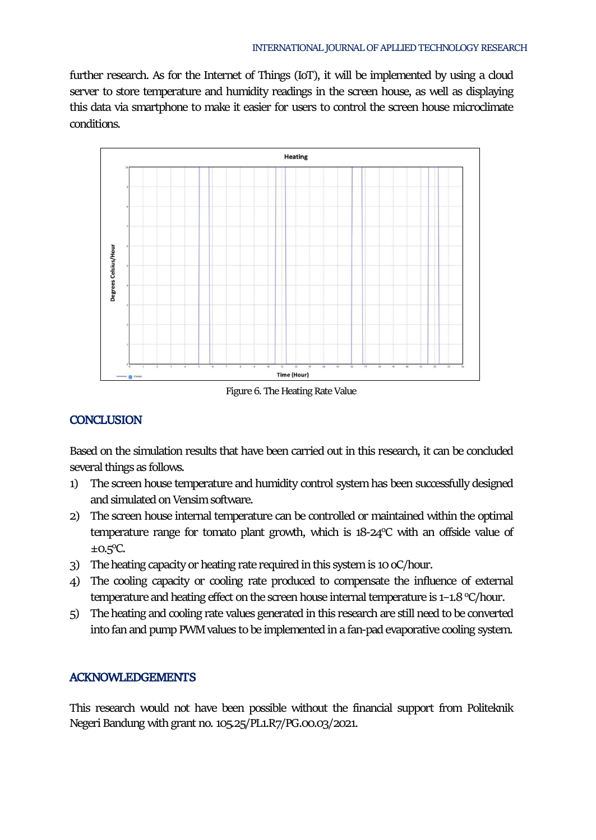further research. As for the Internet of Things (IoT), it will be implemented by using a cloud server to store temperature and humidity readings in the screen house, as well as displaying this data via smartphone to make it easier for users to control the screen house microclimate conditions.



Figure 6. The Heating Rate Value

# **CONCLUSION**

Based on the simulation results that have been carried out in this research, it can be concluded several things as follows.

- 1) The screen house temperature and humidity control system has been successfully designed and simulated on Vensim software.
- 2) The screen house internal temperature can be controlled or maintained within the optimal temperature range for tomato plant growth, which is 18-24°C with an offside value of  $\pm$  0.5°C.
- 3) The heating capacity or heating rate required in this system is 10 oC/hour.
- 4) The cooling capacity or cooling rate produced to compensate the influence of external temperature and heating effect on the screen house internal temperature is 1-1.8 °C/hour.
- 5) The heating and cooling rate values generated in this research are still need tobe converted into fan and pump PWM values to be implemented in a fan-pad evaporative cooling system.

# ACKNOWLEDGEMENTS

This research would not have been possible without the financial support from Politeknik Negeri Bandung with grant no. 105.25/PL1.R7/PG.00.03/2021.